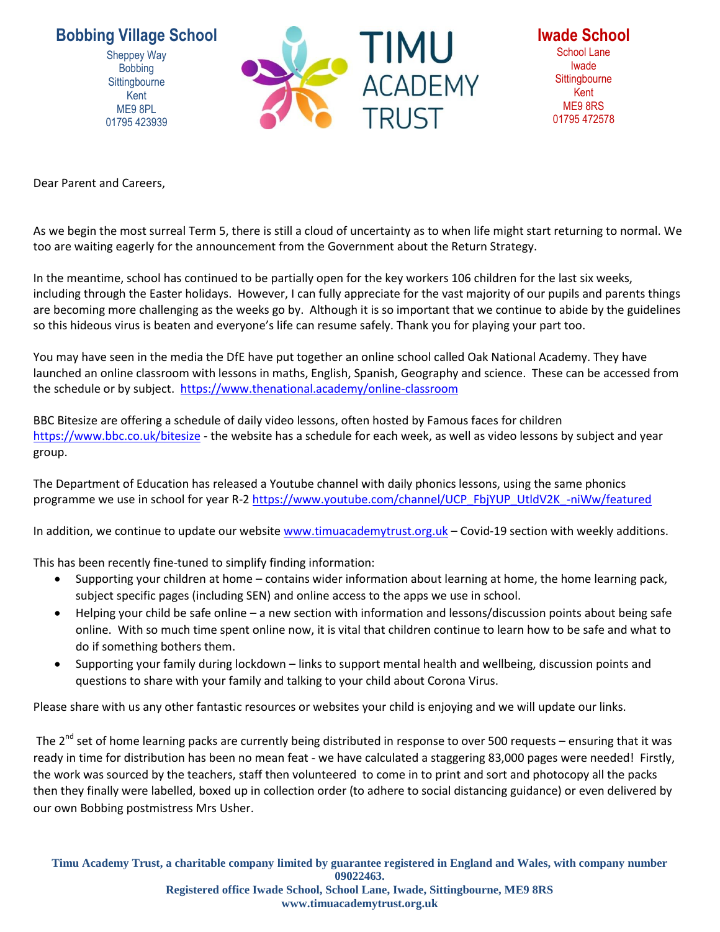**Bobbing Village School**

Sheppey Way **Bobbing Sittingbourne** Kent ME9 8PL 01795 423939



**Iwade School** School Lane Iwade **Sittingbourne** Kent ME9 8RS 01795 472578

Dear Parent and Careers,

As we begin the most surreal Term 5, there is still a cloud of uncertainty as to when life might start returning to normal. We too are waiting eagerly for the announcement from the Government about the Return Strategy.

In the meantime, school has continued to be partially open for the key workers 106 children for the last six weeks, including through the Easter holidays. However, I can fully appreciate for the vast majority of our pupils and parents things are becoming more challenging as the weeks go by. Although it is so important that we continue to abide by the guidelines so this hideous virus is beaten and everyone's life can resume safely. Thank you for playing your part too.

You may have seen in the media the DfE have put together an online school called Oak National Academy. They have launched an online classroom with lessons in maths, English, Spanish, Geography and science. These can be accessed from the schedule or by subject.<https://www.thenational.academy/online-classroom>

BBC Bitesize are offering a schedule of daily video lessons, often hosted by Famous faces for children <https://www.bbc.co.uk/bitesize> - the website has a schedule for each week, as well as video lessons by subject and year group.

The Department of Education has released a Youtube channel with daily phonics lessons, using the same phonics programme we use in school for year R-[2 https://www.youtube.com/channel/UCP\\_FbjYUP\\_UtldV2K\\_-niWw/featured](https://www.youtube.com/channel/UCP_FbjYUP_UtldV2K_-niWw/featured)

In addition, we continue to update our website [www.timuacademytrust.org.uk](http://www.timuacademytrust.org.uk/) - Covid-19 section with weekly additions.

This has been recently fine-tuned to simplify finding information:

- Supporting your children at home contains wider information about learning at home, the home learning pack, subject specific pages (including SEN) and online access to the apps we use in school.
- Helping your child be safe online a new section with information and lessons/discussion points about being safe online. With so much time spent online now, it is vital that children continue to learn how to be safe and what to do if something bothers them.
- Supporting your family during lockdown links to support mental health and wellbeing, discussion points and questions to share with your family and talking to your child about Corona Virus.

Please share with us any other fantastic resources or websites your child is enjoying and we will update our links.

The  $2^{nd}$  set of home learning packs are currently being distributed in response to over 500 requests – ensuring that it was ready in time for distribution has been no mean feat - we have calculated a staggering 83,000 pages were needed! Firstly, the work was sourced by the teachers, staff then volunteered to come in to print and sort and photocopy all the packs then they finally were labelled, boxed up in collection order (to adhere to social distancing guidance) or even delivered by our own Bobbing postmistress Mrs Usher.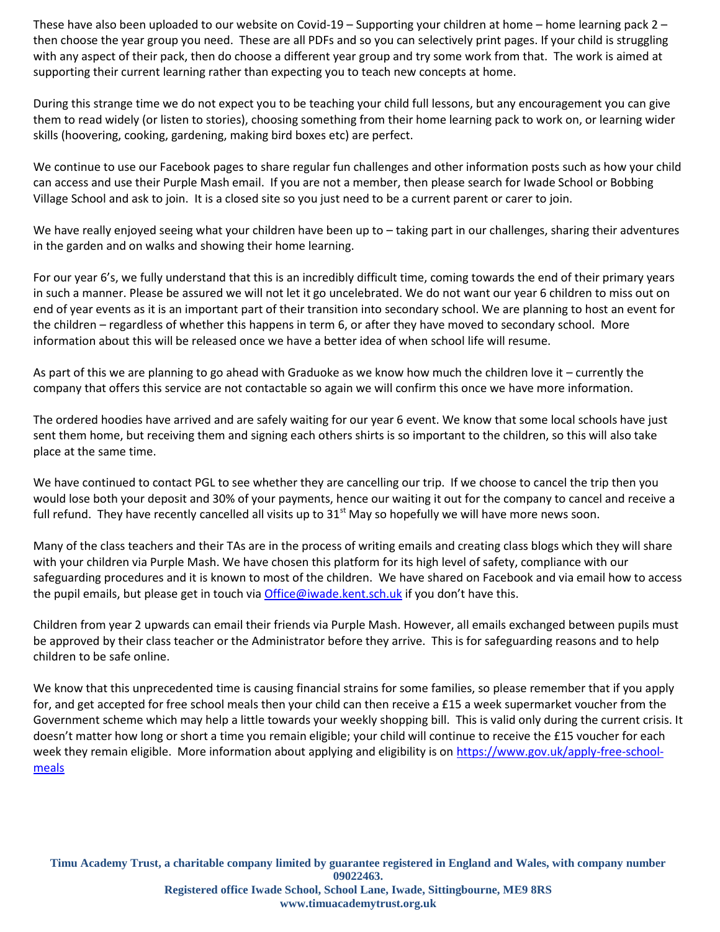These have also been uploaded to our website on Covid-19 – Supporting your children at home – home learning pack 2 – then choose the year group you need. These are all PDFs and so you can selectively print pages. If your child is struggling with any aspect of their pack, then do choose a different year group and try some work from that. The work is aimed at supporting their current learning rather than expecting you to teach new concepts at home.

During this strange time we do not expect you to be teaching your child full lessons, but any encouragement you can give them to read widely (or listen to stories), choosing something from their home learning pack to work on, or learning wider skills (hoovering, cooking, gardening, making bird boxes etc) are perfect.

We continue to use our Facebook pages to share regular fun challenges and other information posts such as how your child can access and use their Purple Mash email. If you are not a member, then please search for Iwade School or Bobbing Village School and ask to join. It is a closed site so you just need to be a current parent or carer to join.

We have really enjoyed seeing what your children have been up to – taking part in our challenges, sharing their adventures in the garden and on walks and showing their home learning.

For our year 6's, we fully understand that this is an incredibly difficult time, coming towards the end of their primary years in such a manner. Please be assured we will not let it go uncelebrated. We do not want our year 6 children to miss out on end of year events as it is an important part of their transition into secondary school. We are planning to host an event for the children – regardless of whether this happens in term 6, or after they have moved to secondary school. More information about this will be released once we have a better idea of when school life will resume.

As part of this we are planning to go ahead with Graduoke as we know how much the children love it – currently the company that offers this service are not contactable so again we will confirm this once we have more information.

The ordered hoodies have arrived and are safely waiting for our year 6 event. We know that some local schools have just sent them home, but receiving them and signing each others shirts is so important to the children, so this will also take place at the same time.

We have continued to contact PGL to see whether they are cancelling our trip. If we choose to cancel the trip then you would lose both your deposit and 30% of your payments, hence our waiting it out for the company to cancel and receive a full refund. They have recently cancelled all visits up to  $31<sup>st</sup>$  May so hopefully we will have more news soon.

Many of the class teachers and their TAs are in the process of writing emails and creating class blogs which they will share with your children via Purple Mash. We have chosen this platform for its high level of safety, compliance with our safeguarding procedures and it is known to most of the children. We have shared on Facebook and via email how to access the pupil emails, but please get in touch via [Office@iwade.kent.sch.uk](mailto:Office@iwade.kent.sch.uk) if you don't have this.

Children from year 2 upwards can email their friends via Purple Mash. However, all emails exchanged between pupils must be approved by their class teacher or the Administrator before they arrive. This is for safeguarding reasons and to help children to be safe online.

We know that this unprecedented time is causing financial strains for some families, so please remember that if you apply for, and get accepted for free school meals then your child can then receive a £15 a week supermarket voucher from the Government scheme which may help a little towards your weekly shopping bill. This is valid only during the current crisis. It doesn't matter how long or short a time you remain eligible; your child will continue to receive the £15 voucher for each week they remain eligible. More information about applying and eligibility is on [https://www.gov.uk/apply-free-school](https://www.gov.uk/apply-free-school-meals)[meals](https://www.gov.uk/apply-free-school-meals)